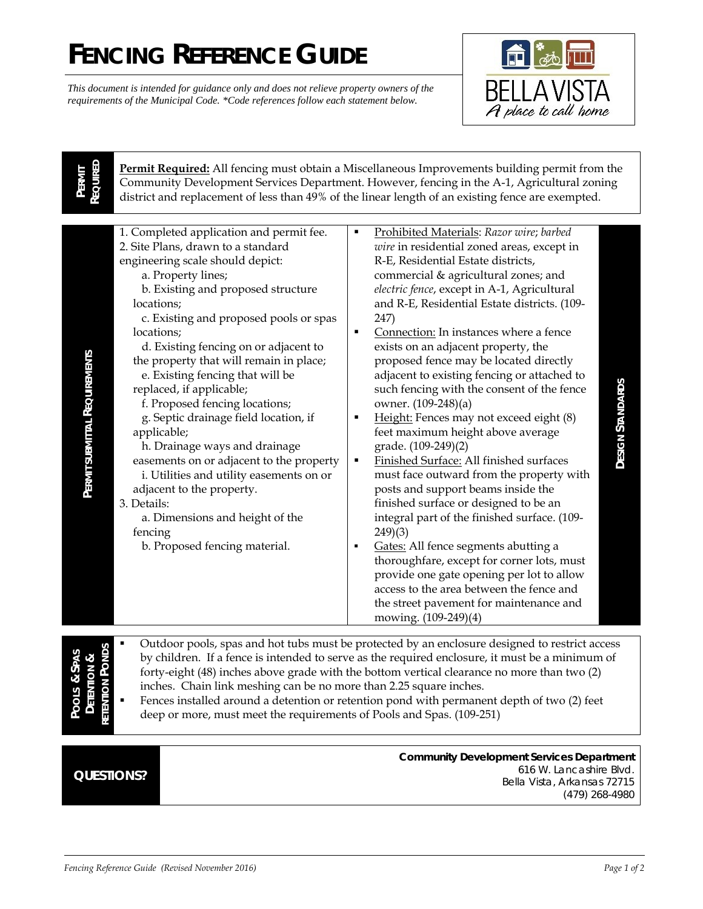## **FENCING REFERENCE GUIDE**

*This document is intended for guidance only and does not relieve property owners of the requirements of the Municipal Code. \*Code references follow each statement below.* 



**PERMIT REQUIRED**  **Permit Required:** All fencing must obtain a Miscellaneous Improvements building permit from the Community Development Services Department. However, fencing in the A-1, Agricultural zoning district and replacement of less than 49% of the linear length of an existing fence are exempted.

| provide one gate opening per lot to allow<br>access to the area between the fence and<br>the street pavement for maintenance and<br>mowing. (109-249)(4) |
|----------------------------------------------------------------------------------------------------------------------------------------------------------|
|----------------------------------------------------------------------------------------------------------------------------------------------------------|

**POOLS &SPAS DETENTION &RETENTION PONDS** by children. If a fence is intended to serve as the required enclosure, it must be a minimum of forty-eight (48) inches above grade with the bottom vertical clearance no more than two (2) inches. Chain link meshing can be no more than 2.25 square inches.

 Fences installed around a detention or retention pond with permanent depth of two (2) feet deep or more, must meet the requirements of Pools and Spas. (109-251)

## **QUESTIONS?**

**Community Development Services Department** 616 W. Lancashire Blvd. Bella Vista, Arkansas 72715 (479) 268-4980